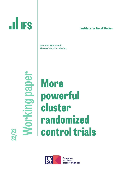# **ILLIFS**

#### **lnstitute for Fiscal Studies**

Brendon McConnell Marcos Vera-Hernández

**Working paper HedbalgubyJol 21** 21 **27 21** 

## **More powerful cluster randomized control trials**



**Economic** and Social **Research Council**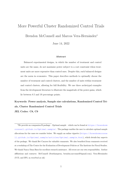### More Powerful Cluster Randomized Control Trials

Brendon McConnell and Marcos Vera-Hernández<sup>∗</sup>

June 14, 2022

#### Abstract

Balanced experimental designs, in which the number of treatment and control units are the same, do not maximize power subject to a cost constraint when treatment units are more expensive than control ones. Despite this, such balanced designs are the norm in economics. This paper describes methods to optimally choose the number of treatment and control clusters, and the number of units within treatment and control clusters, allowing for full flexibility. We use three archetypal examples from the development literature to illustrate the magnitude of the power gains, which lie between 8.5 and 19 percentage points.

Keywords: Power analysis, Sample size calculations, Randomized Control Trials, Cluster Randomized Control Trials JEL Codes: C8, C9

<sup>∗</sup>We provide an companion R package – Optimal.sample – which can be found at [https://brendonm](https://brendonmcconnell.github.io/Optimal.sample/) [cconnell.github.io/Optimal.sample/](https://brendonmcconnell.github.io/Optimal.sample/). The package enables the user to calculate optimal sample allocations for the cases we consider below. We supply an online vignette ([https://brendonmcconne](https://brendonmcconnell.github.io/Optimal.sample/articles/Optimal.sample.html) [ll.github.io/Optimal.sample/articles/Optimal.sample.html](https://brendonmcconnell.github.io/Optimal.sample/articles/Optimal.sample.html)), which details key aspects of the package. We thank Bet Caeyers for valuable comments. We also benefited from comments received at a workshop of The Centre for the Evaluation of Development Policies at The Institute for Fiscal Studies. We thank Nancy Daza Baez for excellent research assistance. All errors are our own responsibility. Author affiliations and contacts: McConnell (Southampton, brendon.mcconnell@gmail.com); Vera-Hernández (UCL and IFS, m.vera@ucl.ac.uk)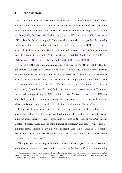#### 1 Introduction

One of the key challenges in economics is to estimate causal relationships between economic variables and policy instruments. Randomized Controlled Trials (RCT) have become one of the main tools that researchers use to accomplish this objective [\(Hausman](#page-22-0) [and Wise,](#page-22-0) [1985;](#page-22-0) [Burtless,](#page-20-0) [1995;](#page-20-0) [Heckman and Smith,](#page-22-1) [1995;](#page-22-1) [Duflo et al.,](#page-21-0) [2007;](#page-21-0) [Hamermesh,](#page-21-1) [2013;](#page-21-1) [Olken,](#page-23-0) [2020\)](#page-23-0). More simple RCTs are usually set up with the objective of estimating the impact of a certain policy or intervention, while more complex RCTs can be implemented to test between competing hypotheses that explain a phenomenon (also known as field experiments, see [Duflo](#page-21-2) [\(2006\)](#page-21-2); [Levitt and List](#page-22-2) [\(2009\)](#page-22-2); [Bandiera et al.](#page-20-1) [\(2011\)](#page-20-1); [List](#page-22-3) [\(2011\)](#page-22-3); [List and Rasul](#page-22-4) [\(2011\)](#page-22-4); [Karlan and Appel](#page-22-5) [\(2016\)](#page-22-5); [Duflo](#page-21-3) [\(2020\)](#page-21-3)).

The focus of this paper is on maximizing the statistical power – the probability that the null hypothesis of zero effect is correctly rejected – of a cluster RCT given a cost constraint. This is important because not only do underpowered RCTs have a smaller probability of detecting a true effect, but they also have a smaller probability that a statistically significant result reflects a true effect [\(Wacholder et al.,](#page-23-1) [2004;](#page-23-1) [Ioannidis,](#page-22-6) [2005;](#page-22-6) [Button](#page-20-2) [et al.,](#page-20-2) [2013\)](#page-20-2). [Ioannidis et al.](#page-22-7) [\(2017\)](#page-22-7) find that the median statistical power in Economics (in general, not specifically in RCT studies) is 18%. Moreover, low-powered RCTs are more likely to lead to estimates whose sign is the opposite to the true one, and estimates whose size is much larger than the true effect size [\(Gelman and Carlin,](#page-21-4) [2014\)](#page-21-4).

In the Statistics literature, there is a long tradition of solving the dual problem: minimizing costs subject to achieving a given level of power. It is well known that if treatment units are more expensive than control units (because of the cost of the intervention), a balanced design which has the same number of treatment and control units does not minimize costs. Instead, a given power and significance can be achieved at a smaller cost if more control and fewer treatment units are sampled than in the balanced design [\(Cochran,](#page-21-5) [1963;](#page-21-5) [Nam,](#page-23-2) [1973\)](#page-23-2) 1 .

We argue that the primal problem of maximizing power subject to a cost constraint is more relevant in economics research, in which funding bodies specify a maximum funding

<sup>1</sup>Although, for a fixed total number of units, having an unbalanced number of treatment and control units decreases the power of the RCT, this can be compensated, at a lower cost, by increasing the number of control units (as they are cheaper than the treatment ones).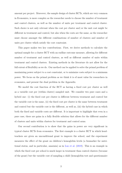amount per project. Moreover, the sample design of cluster RCTs, which are very common in Economics, is more complex as the researcher needs to choose the number of treatment and control clusters, as well as the number of units per treatment and control cluster. Such choice is not only relevant when the cost per cluster and/or the unit cost might be different in treatment and control, but also when the costs are the same, as the researcher must choose amongst the different combinations of number of clusters and number of units per cluster which satisfy the cost constraint.

This paper makes two key contributions. First, we derive methods to calculate the optimal sample for a cluster RCT with an endline outcome measure, allowing for different number of treatment and control clusters, as well as different number of units within treatment and control clusters. Existing methods in the literature do not allow for the full extent of flexibility as we do. Our method can be applied to solve the primal problem of maximizing power subject to a cost constraint, or to minimize costs subject to a minimum power. We focus on the primal problem as we think it is of most value for researchers in economics, and present the dual problem in the Appendix.

We model the cost function of the RCT as having a fixed cost per cluster as well as a variable cost per (within cluster) sampled unit. We consider two pure cases and a hybrid one: (i) the fixed cost per cluster is different between treatment and control but the variable cost is the same, (ii) the fixed cost per cluster is the same between treatment and control but the variable cost is the different, as well as, (iii) the hybrid case in which both the fixed and variable costs are different. It is important to highlight that even in a pure case, there are gains in a fully flexible solution that allows for the different number of clusters and units within clusters for treatment and control arms.

Our second contribution is to show that the gains in power are very significant in typical cluster RCTs from economics. The first example is a cluster RCT in which headteachers are given an unconditional grant to improve the school, and the experiment measures the effect of the grant on children's hemoglobin levels (a biomarker for nutritional status, and in particular, anaemia) as in [Luo et al.](#page-23-3) [\(2019\)](#page-23-3). This is an example in which the fixed cost per school is much larger in treatment than control clusters (because of the grant) but the variable cost of sampling a child (hemoglobin test and questionnaire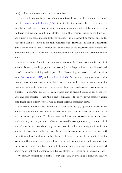time) is the same in treatment and control schools.

The second example is the case of an unconditional cash transfer program, as is analysed by [Haushofer and Shapiro](#page-22-8) [\(2016\)](#page-22-8), in which treated households receive a large unconditional cash transfer, and in which a cluster design is used to take into account of spillovers and general equilibrium effects. Unlike the previous example, the fixed cost per cluster is the same independently of whether it is a treatment or control one, as the only fixed cost per cluster is the transportation one. However, the cost of a treatment unit is much higher than a control one, as the cost of the treatment unit includes the unconditional cash transfer and the interviewing time, but only the latter for control units.

Our example for the hybrid case refers to the so called "graduation model" in which households are given large productive assets (i.e., a large animal), time limited cash transfers, as well as training and support, life skills coaching, and access to health services, as in [Banerjee et al.](#page-20-3) [\(2015\)](#page-20-3) and [Bandiera et al.](#page-20-4) [\(2017\)](#page-20-4). Because these programs provide training, coaching and access to health services, they need certain infrastructure in the treatment clusters to deliver these services and hence the fixed cost per treatment cluster is higher. In addition, the cost of each treated unit is higher because of the productive asset and cash transfer. Hence, this example synthesizes the previous two cases, by having both larger fixed cluster costs as well as larger variable treatment costs.

Our results indicate that, compared to a balanced design, optimally allocating the number of clusters and the number of treatment units can increase power between 8.5 and 19 percentage points. To obtain these results we use realistic cost estimates based predominantly on the previous studies and reasonable assumptions on parameters which are unknown to us. We then compare the costs of the balanced design  $-$  in which the number of clusters and units per cluster is the same between treatment and control – with the optimal allocation that we derive. It should be noted that we do not replicate all the features of the previous studies, and hence our results should not be understood as what the previous studies could have gained. Instead one should view our results as benchmark power gains that can be obtained in a typical cluster RCT using our proposed method.

We further consider the benefits of our approach, by attaching a monetary value to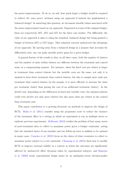the power improvements. To do so, we ask: how much larger a budget would be required to achieve the same power attained using our approach if instead one implemented a balanced design? In answering this question, we document sizeable values associated with the power improvement based on our approach. Expressed in terms of the original budget, these are respectively 22%, 23% and 54% for the three case studies. Put differently, the value of our approach is akin to using the standard, balanced design but being granted a budget of between 22% to 54% larger. This valuation exercise underscores the advantage of our approach. By moving away from a balanced design in a manner that accounts for differential costs, one can make sizeable power gains for a given budget.

A general feature of the results is that, in all three cases, both the number of clusters and the number of units within clusters are different between the treatment and control arms, in a compensating manner. For instance, when the fixed cost per cluster is larger in treatment than control clusters but the variable costs are the same, not only it is optimal to have fewer treatment than control clusters, but also to sample more units per treatment than control clusters (in the margin, it is more efficient to increase the units per treatment cluster than paying the cost of an additional treatment cluster). In the hybrid case, depending on the differences in fixed and variable costs, the optimal solution could even involve not only more clusters but also more units per cluster in the control than treatment arm.

This paper contributes to a growing literature on methods to improve the design of RCTs. [Hahn et al.](#page-21-6) [\(2011\)](#page-21-6) consider using the propensity score to reduce the variance of the treatment effect in a setting in which an experiment is run in multiple waves or replicate previous experiments. [McKenzie](#page-23-4) [\(2012\)](#page-23-4) studies the problem of how many waves of post-treatment data to collect to maximize power given a budget constraint, noting that the standard choice of one baseline and one follow-up wave is unlikely to be optimal in many cases. [Carneiro et al.](#page-20-5) [\(2019\)](#page-20-5) focus on the choice of what covariates to collect to maximize power subject to a cost constraint. [Chassang et al.](#page-21-7) [\(2012\)](#page-21-7) show how to modify RCTs to improve external validity in a context in which the outcomes are significantly affected by unobserved effort decisions taken by experimental subjects, and [Banerjee](#page-20-6) [et al.](#page-20-6) [\(2020\)](#page-20-6) study experimental design issues by an ambiguity-averse decision-maker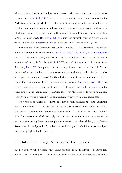who is concerned with both subjective expected performance and robust performance guarantees. [Burlig et al.](#page-20-7) [\(2020\)](#page-20-7) advise against using using sample size formulae for the ANCOVA estimator (in which the post-treatment outcome variable is regressed over its baseline value and the treatment indicator), and hence we focus our paper on the case in which only the post treatment values of the dependent variable are used in the estimation of the treatment effect. [Baird et al.](#page-20-8) [\(2018\)](#page-20-8) studies the optimal design of experiments in which an individual's outcome depends on the outcomes of others in her group.

With respect to the literature that considers unequal costs of treatment and control units, the comprehensive reviews by [Duflo et al.](#page-21-0) [\(2007\)](#page-21-0), [List et al.](#page-22-9) [\(2011\)](#page-22-9) and [Glenner](#page-21-8)[ster and Takavarasha](#page-21-8) [\(2013\)](#page-21-8) all consider the case of unequal costs in their reviews of experimental methods, but for individual RCTs instead of cluster ones. In the statistics literature, [Liu](#page-22-10) [\(2003\)](#page-22-10) is a pioneer in considering different costs in a cluster RCT, but the scenarios considered are relatively constrained, allowing only either fixed or variable heterogeneous costs, and constraining the solution to have either the same number of clusters or the same number of units in treatment than control. [Shen and Kelcey](#page-23-5) [\(2020\)](#page-23-5) has recently relaxed some of these constraints but still requires the number of units to be the same in treatment than in control clusters. Moreover, these papers focus on minimizing costs given a level of power, instead of maximizing power given a maximum cost.

The paper is organized as follows: the next section describes the data generating process and defines the estimator. Section [3](#page-8-0) outlines the method to determine the optimal sample size to maximize power given a cost constraint. Section [4](#page-13-0) presents three examples from the literature to which we apply our method, and whose results are presented in Section [5,](#page-14-0) contrasting the optimal sample allocation with the balanced design, and Section [6](#page-18-0) concludes. In the Appendix [B,](#page-30-0) we describe the dual approach of minimizing costs subject to achieving a given level of power.

#### 2 Data Generating Process and Estimators

In this paper, we will determine the sample calculations in the context of a cluster randomized trial in which  $j = 1, ..., K$  clusters have been randomized into treatment (denoted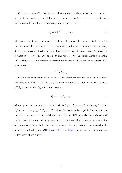by  $T_j = 1$ ) or control  $(T_j = 0)$ . For each cluster j, data on the value of the outcome variable for individual i,  $Y_{ij}$ , is available at the moment of time in which the treatment effect will be estimated (endline). The data generating process is:

$$
Y_{ij} = \alpha + \delta T_j + v_j + \epsilon_{ij},\tag{1}
$$

where  $\alpha$  represents the population mean of the outcome variable in the control group,  $\delta$  is the treatment effect,  $v_j$  is a cluster-level error term, and  $\epsilon_{ij}$  an independent and identically distributed individual level error term, both error terms with zero mean. The variances of these two error terms are  $var(v_j) = \sigma_v^2$  and  $var(\epsilon_{ij}) = \sigma_{\epsilon}^2$ . The intra-cluster correlation (ICC), which is a key parameter in determining the required sample size in cluster RCTs is given by:

$$
\rho = \frac{\sigma_v^2}{\sigma_v^2 + \sigma_\epsilon^2}
$$

Sample size calculations are particular of the estimator that will be used to estimate the treatment effect,  $\delta$ . In this case, the most standard is the Ordinary Least Squares (OLS) estimator of  $\delta$ ,  $\hat{\delta}_{OLS}$ , in the regression:

<span id="page-7-0"></span>
$$
Y_{ij} = \alpha + \delta T_c + u_{ij},\tag{2}
$$

where  $u_{ij}$  is a zero mean error term, with  $var(u_{ij}) = \sigma_v^2 + \sigma_\epsilon^2 = \sigma^2$ ,  $cov(u_{ij}, u_{kj}) = \sigma_v^2$  for  $i \neq h$ , and cov $(u_{ij}, u_{hl})=0$  if  $j \neq l$ . The above discussion makes explicit that the outcome variable is measured at the individual level. Cluster RCTs can also be analyzed with cluster level outcomes, such as prices, in which only one observation per cluster of the outcome variable is available. In these cases, one would use the standard formulae thought for individual level clusters ([\(Cochran,](#page-21-5) [1963;](#page-21-5) [Nam,](#page-23-2) [1973\)](#page-23-2)), but where the cost parameters reflect those of the cluster.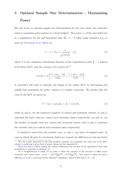## <span id="page-8-0"></span>3 Optimal Sample Size Determination - Maximizing Power

We now focus on optimal sample size determination for the case where the researcher wants to maximize power subject to a fixed budget<sup>2</sup>. The power,  $\kappa$ , of the two-tailed test at  $\alpha$  significance for the null hypothesis that  $H_0$ :  $\delta = 0$  when using estimator  $\hat{\delta}_{OLS}$  is given by [Teerenstra et al.](#page-23-6) [\(2012\)](#page-23-6) as:

<span id="page-8-1"></span>
$$
1 - \kappa = T_{K-1} \left(\frac{\delta}{\sqrt{var(\hat{\delta})}} - t_{\frac{\alpha}{2}}\right) \tag{3}
$$

where T is the cumulative distribution function of the t-distribution with  $K - 1$  degrees of freedom (DoF), and the variance of  $\hat{\delta}$  is given by  $3,4$ 

$$
var(\hat{\delta}) = \sigma^2 \left[ \frac{1 + (m_0 - 1)\rho}{m_0 k_0} + \frac{1 + (m_1 - 1)\rho}{m_1 k_1} \right].
$$
 (4)

A researcher will want to optimize the design of the cluster RCT by determining the sample that maximizes the power, subject to a budget constraint. We assume that the costs of the RCT are given by:

<span id="page-8-2"></span>
$$
C = (f_0 + v_0 m_0)k_0 + (f_1 + v_1 m_1)k_1,
$$
\n(5)

where  $k_0$  and  $k_1$  are the respective numbers of control and treatment clusters,  $f_0$  and  $f_1$ represent the fixed costs per control and treatment cluster respectively,  $m_0$  and  $m_1$  are the number of sample units per control and treatment cluster, and  $v_0$  and  $v_1$  represent the variable costs per control and treatment units respectively.

It should be noted that the variable costs,  $v_0$  and  $v_1$ , are those of sampled units. In cases in which all units in a treatment cluster are treated, the difference in costs are better

<sup>2</sup>For the reader interested in the dual problem, whereby one minimizes the total cost of the RCT subject to achieving a given level of power, please see the Appendix [B.](#page-30-0)

<sup>&</sup>lt;sup>3</sup>[Shen and Kelcey](#page-23-5) [\(2020\)](#page-23-5) express the variance differently, but we show in the Appendix [C](#page-40-0) that their formulation is equivalent to formula [\(4\)](#page-8-1).

<sup>&</sup>lt;sup>4</sup>It is straighforward to adapt [\(4\)](#page-8-1) in order to allow the variance of the outcome to differ across treatment and control units:  $var(\hat{\delta}) = \left[\sigma_0^2 \frac{1 + (m_0 - 1)\rho}{m_0 k_0}\right]$  $\frac{(m_0-1)\rho}{m_0k_0} + \sigma_1^2 \frac{1+(m_1-1)\rho}{m_1k_1}$  $\left(\frac{(m_1-1)\rho}{m_1k_1}\right)$ . One reason to allow for such a difference is if one is concerned about imperfect compliance, which would lead to  $\sigma_1^2 > \sigma_0^2$ .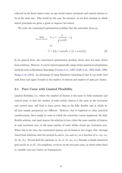reflected in the fixed cluster costs, as one would expect treatment and control clusters to be of the same size. This would be the case, for instance, of our first example in which school principals are given a grant to improve the school.

We write the constrained optimization problem that the researcher faces as:

<span id="page-9-0"></span>
$$
\max_{\{m_0, m_1, k_0, k_1\}} t_{1-\kappa} = \frac{\delta}{\sqrt{var(\delta)}} - t_{\frac{\alpha}{2}}
$$
\n
$$
\text{s.t.}
$$
\n
$$
C = \left[ (f_0 + v_0 m_0)k_0 + (f_1 + v_1 m_1)k_1 \right] \tag{6}
$$

In its general form, the constrained optimization problem above does not have closed form solutions. However, it can be solved numerically using robust numerical optimization methods such as Simulated Annealing [\(Corana et al.,](#page-21-9) [1987;](#page-21-9) [Goffe et al.,](#page-21-10) [1994;](#page-21-10) [Goffe,](#page-21-11) [1996;](#page-21-11) [Xiang et al.,](#page-23-7) [2013\)](#page-23-7). An advantage of using Simulated Annealing is that it can easily deal with lower and upper bounds in the number of clusters and number of units per cluster.

#### 3.1 Pure Cases with Limited Flexibility

Limited flexibility, i.e., where the number of clusters is the same in both treatment and control arms, or here the number of units within clusters is the same in the treatment and control arms, will lead to lower power than in the fully flexible case in which we all four sample parameters are different. However, due to logistical or other practical considerations, there might be cases in which the researcher cannot implement the fully flexible solution, and must impose the solution to have either the same number of clusters in each treatment arm, or the same number of units within cluster per treatment arm. When this is the case, the constrained optima can be found in two stages: first, through closed form solutions, find the optimal  $k_0$  and  $k_1$  ( $m_0$  and  $m_1$ ) as a function of  $m=m_0=m_1$  $(k=k_0=k_1)$ . Second find the optimum m,  $k_0$ ,  $k_1$   $(k, m_0, m_1)$  through a simple numerical grid search on  $m(k)$ . For simplicity, we focus on the two pure cases, in which either fixed or variable costs per cluster are homogenous.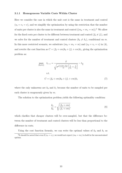#### 3.1.1 Homogeneous Variable Costs Within Cluster

Here we consider the case in which the unit cost is the same in treatment and control  $(v_0 = v_1 = v)$ , and we simplify the optimization by using the restriction that the number of units per cluster is also the same in treatment and control  $((m_0 = m_1 = m))$ .<sup>5</sup> We allow for the fixed costs per cluster to be different between treatment and control  $(f_0 \neq f_1)$ , and we solve for the number of treatment and control clusters  $(k_0 \neq k_1)$ , conditional on m. In this more restricted scenario, we substitute  $(m_0 = m_1 = m)$  and  $(v_0 = v_1 = v)$  in [\(4\)](#page-8-1), and rewrite the cost function as  $C = (f_0 + v m)k_0 + (f_1 + v m)k_1$ , giving the optimization problem as:

$$
\max_{\{k_0, k_1\}} \quad t_{1-\kappa} = \frac{\delta}{\sqrt{\sigma^2 \frac{1 + (m-1)\rho}{m} \left[ \frac{1}{k_0} + \frac{1}{k_1} \right]}} - t_{\frac{\alpha}{2}}
$$
\n
$$
\text{s.t.}
$$
\n
$$
C = (f_0 + \nu m)k_0 + (f_1 + \nu m)k_1 \tag{7}
$$

where the only unknowns are  $k_0$  and  $k_1$  because the number of units to be sampled per each cluster is exogenously given by m.

The solution to the optimization problem yields the following optimality condition:

<span id="page-10-0"></span>
$$
\frac{k_1}{k_0} = \sqrt{\frac{(f_0 + v m)}{(f_1 + v m)}},\tag{8}
$$

which clarifies that cheaper clusters will be over-sampled, but that the difference between the number of treatment and control clusters will be less than proportional to the difference in costs.

Using the cost function formula, we can write the optimal values of  $k_0$  and  $k_1$  as <sup>5</sup>It should be noted that even if  $(v_0 = v_1)$ , we would not expect  $(m_0 = m_1)$  to hold in the unconstrained optima.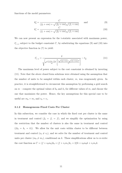functions of the model parameters:

<span id="page-11-0"></span>
$$
k_0^* = \frac{C}{(f_0 + v m) + \sqrt{(f_0 + v m)}\sqrt{(f_1 + v m)}}
$$
 and (9)

<span id="page-11-1"></span>
$$
k_1^* = \frac{C}{(f_1 + v m) + \sqrt{(f_0 + v m)}\sqrt{(f_1 + v m)}}
$$
(10)

<span id="page-11-2"></span>We can now present an expression for the t-statistic associated with maximum power,  $t_{1-\kappa}^*$ , subject to the budget constraint C, by substituting the equations [\(9\)](#page-11-0) and [\(10\)](#page-11-1) into the objective function in [\(7\)](#page-10-0) to yield:

$$
t_{1-\kappa}^{*} = \frac{\delta}{\sqrt{\sigma^2 \frac{1 + (m-1)\rho}{m} \left[ \frac{(\sqrt{(f_0 + \nu m)} + \sqrt{(f_1 + \nu m)})^2}{C} \right]}} - t_{\frac{\alpha}{2}}.
$$
(11)

The maximum level of power subject to the cost constraint is obtained by inverting [\(11\)](#page-11-2). Note that the above closed form solutions were obtained using the assumption that the number of units to be sampled within each cluster,  $m$ , was exogenously given. In practice, it is straightforward to circumvent this assumption by performing a grid search on  $m$  – compute the optimal values of  $k_0$  and  $k_1$  for different values of  $m$ , and choose the one that maximizes the power. Hence, the key assumptions for this special case to be useful are  $m_0 = m_1$  and  $v_0 = v_1$ .

#### 3.1.2 Homogeneous Fixed Costs Per Cluster

In this subsection, we consider the case in which the fixed cost per cluster is the same in treatment and control  $(f_0 = f_1 = f)$ , and we simplify the optimization by using the restriction that the number of clusters is also the same in treatment and control  $((k_0 = k_1 = k))$ . We allow for the unit costs within cluster to be different between treatment and control  $(v_0 \neq v_1)$ , and we solve for the number of treatment and control units per cluster  $(m_0 \neq m_1)$ , conditional on k. These simplifications allow us to re-write the cost function as  $C = (f + v_0m_0)k_0 + (f + v_1m_1)k_1 = 2fk + v_0m_0k + v_1m_1k$ .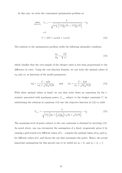In this case, we write the constrained optimization problem as:

$$
\max_{\{m_0, m_1\}} \quad t_{1-\kappa} = \frac{\delta}{\sqrt{\sigma^2 \frac{1}{k} \left[ \frac{1 + (m_0 - 1)\rho}{m_0} + \frac{1 + (m_1 - 1)\rho}{m_1} \right]}} - t_{\frac{\alpha}{2}}
$$
\n
$$
\text{s.t.}
$$
\n
$$
C = 2fk + v_0 m_0 k + v_1 m_1 k \tag{12}
$$

The solution to the optimization problem yields the following optimality condition:

<span id="page-12-2"></span><span id="page-12-1"></span><span id="page-12-0"></span>
$$
\frac{m_1}{m_0} = \sqrt{\frac{v_0}{v_1}},\tag{13}
$$

which clarifies that the over-sample of the cheaper units is less than proportional to the difference in costs. Using the cost function formula, we can write the optimal values of  $m_0$  and  $m_1$  as functions of the model parameters:

$$
m_0^* = \frac{C - 2fk}{(v_0 + \sqrt{v_0}\sqrt{v_1})k} \quad \text{and} \quad m_1^* = \frac{C - 2fk}{(v_1 + \sqrt{v_0}\sqrt{v_1})k}
$$
(14)

With these optimal values at hand, we can then write down an expression for the tstatistic associated with maximum power,  $t_{1-\kappa}^*$ , subject to the budget constraint C, by substituting the relations in equations [\(14\)](#page-12-0) into the objective function in [\(12\)](#page-12-1) to yield:

$$
t_{1-\kappa}^{*} = \frac{\delta}{\sqrt{\sigma^{2} \frac{1}{k} \left[2\rho + \left(\frac{1-\rho}{C-2fk}\right) (\sqrt{v_0} + \sqrt{v_1})^2 k\right]}} - t_{\frac{\alpha}{2}} \tag{15}
$$

The maximum level of power subject to the cost constraint is obtained by inverting [\(15\)](#page-12-2). As noted above, one can circumvent the assumption of a fixed, exogenously given k by running a grid search over different values of  $k$ , – compute the optimal values of  $m_0$  and  $m_1$ for different values of  $k$ , and choose the one that maximizes the power. Hence, the actual important assumptions for this special case to be useful are  $k_0 = k_1$  and  $f_0 = f_1 = f$ .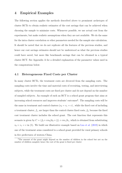#### <span id="page-13-0"></span>4 Empirical Examples

The following section applies the methods described above to prominent archetypes of cluster RCTs to obtain realistic estimates of the cost savings that can be achieved when choosing the sample to minimize costs. Whenever possible, we use actual cost from the experiments, but make realistic assumptions when they are not available. We do the same for the intra cluster correlation or other parameters needed for the sample size calculation. It should be noted that we do not replicate all the features of the previous studies, and hence our cost savings estimates should not be understood as what the previous studies could have saved, but more like benchmark savings that can be obtained in a typical cluster RCT. See Appendix [A](#page-28-0) for a detailed explanation of the parameter values used in the computations below.

#### 4.1 Heterogeneous Fixed Costs per Cluster

In many cluster RCTs, the treatment costs are divorced from the sampling costs. The sampling costs involve the time and material costs of recruiting, testing, and interviewing subjects, while the treatment costs are fixed per cluster and do not depend on the number of sampled subjects. An example of such an RCT is a school grant program that aims at increasing school resources and improves students' outcomes<sup>6</sup>. The sampling costs will be the same in treatment and control clusters  $(v_0 = v_1 = v)$ , while the fixed cost of including a treatment cluster,  $f_1$ , are larger than the control cluster fixed costs,  $f_0$ , because the fixed cost treatment cluster includes the school grant. The cost function that represents this scenario is given by  $C = (f_0 + v m_0)k_0 + (f_1 + v m_1)k_1$ , which is obtained from substituting  $v_0 = v_1 = v$  in [\(5\)](#page-8-2). We build our illustrative example based on [Luo et al.](#page-23-3) [\(2019\)](#page-23-3) in which one of the treatment arms considered is a school grant provided for rural primary schools in five prefectures of western China.

<sup>6</sup>The amount of the grant might depend on the number of children in the school but not on the number of children sampled, hence the cost of the grant is fixed per cluster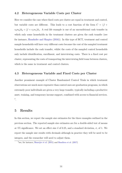#### 4.2 Heterogeneous Variable Costs per Cluster

Here we consider the case where fixed costs per cluster are equal in treatment and control, but variable costs are different. This leads to a cost function of the form  $C = (f +$  $v_0m_0)k_0 + (f + v_1m_1)k_1$ . A real life example is one of an unconditional cash transfer in which only some households in the treatment clusters are given the cash transfer (see for instance, [Haushofer and Shapiro](#page-22-8) [\(2016\)](#page-22-8)). In this type of RCT, treatment and control sample households will have very different costs because the cost of the sampled treatment households include the cash transfer, whilst the costs of the sampled control households only include identification, enrollment, and interviewing costs. There is a fixed cost per cluster, representing the costs of transporting the interviewing field team between clusters, which is the same in treatment and control clusters.

#### 4.3 Heterogeneous Variable and Fixed Costs per Cluster

Another prominent example of Cluster Randomized Control Trials in which treatment observations are much more expensive than control ones are graduation programs, in which extremely poor individuals are given a very large transfer, typically including a productive asset, training, and temporary income support, combined with access to financial services. 7 .

#### <span id="page-14-0"></span>5 Results

In this section, we report the sample size estimates for the three examples outlined in the previous section. The reported sample size estimates are for a double-sided test of means at 5% significance. We set an effect size  $\delta$  of 0.25, and a standard deviation,  $\sigma$ , of 1. We report the sample size results with decimals although in practice they will be need to be integers, and the researcher will need to adjust them.

<sup>7</sup> see, for instance, [Banerjee et al.](#page-20-3) [\(2015\)](#page-20-3) and [Bandiera et al.](#page-20-4) [\(2017\)](#page-20-4)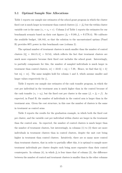#### 5.1 Optimal Sample Size Allocations

Table [1](#page-24-0) reports our sample size estimates of the school grant program in which the cluster fixed cost is much larger in treatment than control clusters  $(f_1 > f_0)$  but the within cluster variable cost is the same  $(v_1 = v_0 = v)$  $(v_1 = v_0 = v)$  $(v_1 = v_0 = v)$ . Column 2 of Table 1 reports the estimates for our benchmark scenario based on their cost figures ( $f_0 = $189, f_1 = $1776.4$ ). We calibrate the available budget, 148, 841, so that the solution to the unconstrained optima (Panel B) provides 80% power in this benchmark case (column 2).

The optimal number of treatment clusters is much smaller than the number of control clusters  $(k_0^* = 164.15, k_1^* = 53.54)$ , which reflects the fact that treatment clusters are much more expensive because their fixed cost includes the school grant. Interestingly, to partially compensate for this, the number of sampled individuals is much larger in treatment than control clusters,  $m_1^* = 22.65 > m_0^* = 7.39$ ,. Hence, we find that  $k_0^* > k_1^*$ but  $m_0^* < m_1^*$ . The same insights hold for column 1 and 3, which assume smaller and larger values respectively for  $f_1$ .

Table [2](#page-25-0) reports our sample size estimates of the cash transfer program, in which the cost per individual in the treatment arm is much higher than in the control because of the cash transfer  $(v_1 > v_0)$ , but the fixed cost per cluster is the same  $(f_1 = f_0 = f)$ . As expected, in Panel B, the number of individuals in the control arm is larger than in the treatment arm. Given the cost structure, in this case the number of clusters is the same in treatment as control arms.

Table [3](#page-26-0) reports the results for the graduation example, in which both the fixed cost per cluster, and the variable cost per individual within cluster are larger in the treatment than the control arm. As expected, the number of control clusters is much larger than the number of treatment clusters, but interestingly, in columns (1) to (3) there are more individuals in treatment clusters than in control clusters, despite the unit cost being higher in treatment than control clusters. Intuitively, there are so many more control than treatment clusters, that in order to partially offset this, it is optimal to sample more treatment individuals per cluster despite each being more expensive than their control counterparts. In column (4), in which  $f_0$  is four times that of column (2), the difference between the number of control and treatment clusters is smaller than in the other columns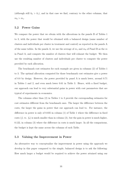(although still  $k_0 > k_1$ ), and in that case we find, contrary to the other columns, that  $m_0 > m_1$ .

#### 5.2 Power Gains

We compare the power that we obtain with the allocations in the panels B of Tables [1](#page-24-0) to [3,](#page-26-0) with the power that would be obtained with a balanced design (same number of clusters and individuals per cluster in treatment and control) as reported in the panels A of the same tables. In the panels A, we use the average of  $m_1$  and  $m_0$  of Panel B as the m in Panel A, and compute the number of clusters that will exhaust the budget. We then use the resulting number of clusters and individuals per cluster to compute the power provided by each allocation.

The benchmark cost estimates for each example are given in columns (2) of Tables [1](#page-24-0) to [3.](#page-26-0) The optimal allocation computed for those benchmark cost estimates give a power of 0.8 by design. However, the power provided by panel A is much lower, around 0.71 in Tables [1](#page-24-0) and [2,](#page-25-0) and even much lower 0.61 in Table [3.](#page-26-0) Hence, with a fixed budget, our approach can lead to very substantial gains in power with cost parameters that are typical of experiments in economics.

The columns other than (2) in Tables [1](#page-24-0) to [3](#page-26-0) provide the corresponding estimates for cost estimates different from the benchmark ones. The larger the difference between the costs, the larger the gains in power that our approach can lead to. For instance, the difference in power is only of 0.035 in column (1) of Table [1](#page-24-0) where the difference in fixed costs  $(f_1 \text{ vs. } f_0)$  is much smaller than in column  $(2)$ , but the gain in power is much higher, 0.122, in column (3) where the difference in costs is much larger. In all the comparisons, the budget is kept the same across the columns of each Table.

#### 5.3 Valuing the Improvement in Power

An alternative way to conceptualize the improvement in power using the approach we develop in this paper compared to the simple, balanced design is to ask the following: How much larger a budget would be required to achieve the power attained using our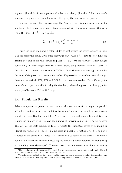approach (Panel B) if one implemented a balanced design (Panel A)? This is a useful alternative approach as it enables us to better grasp the value of our approach.

To answer this question, we rearrange the Panel A power formula to solve for  $k$ , the number of clusters, and input a t-statistic associated with the value of power attained in Panel B – denoted  $t_{1-i}^{*,B}$ <sup>\*,*B*</sup> – to yield  $\tilde{k}_A$ :

$$
\tilde{k}_A = 2(t_{1-\kappa}^{*,B} + t_{\frac{\alpha}{2}})^2 \frac{\sigma^2}{\delta^2} \frac{1 + (m-1)\rho}{m}
$$
\n(16)

This is the value of k under a balanced design that attains the power achieved in Panel B in the respective table. If we enter this value of  $k$  – that is  $\tilde{k}_A$  – into the cost function, keeping m equal to the value found in panel  $A - m_A$  – we can calculate a new budget. Subtracting this new budget from the original yields the penultimate row in Tables 1-3, the value of the power improvement in Dollars. In all three of our archetypal examples, the value of the power improvement is sizeable. Expressed in terms of the original budget, these are respectively 22%, 23% and 54% for the three case studies. Put differently, the value of our approach is akin to using the standard, balanced approach but being granted a budget of between 22% to 54% larger.

#### 5.4 Simulation Results

Table [4](#page-27-0) compares the power that we obtain as the solution to [\(6\)](#page-9-0) and report in panel B of Tables [1](#page-24-0) to [3,](#page-26-0) with the power obtained by simulation using the sample allocations also reported in panel B of the same tables.<sup>8</sup> In order to compute the power by simulation, we require the number of clusters and the number of individuals per cluster to be integers. The last (second last) column of Table [4](#page-27-0) reports the simulated power by rounding up (down) the values of  $k_1$  $k_1$ ,  $k_0$ ,  $m_1$ ,  $m_0$  reported in panel B of Tables 1 to [3.](#page-26-0) The power reported in the panels B of Tables [1](#page-24-0) to [3,](#page-26-0) which we also report in the third last column of Table [4,](#page-27-0) is between (or extremely close to) the simulated power obtained by rounding up and rounding down the sample<sup>9</sup>. This comparison provides reassurance about the validity

<sup>8</sup>The simulations are implemented by specifying a data generating process to match model [\(2\)](#page-7-0) with Normally distributed error terms and 10,000 simulations.

<sup>&</sup>lt;sup>9</sup>Note, for panel B, that the large wedge in the simulated power between rounding the sample up and down is because  $m_1$  is relatively small, so it makes a big difference whether we round it up or down.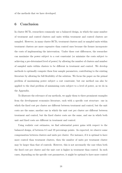of the methods that we have developed.

#### <span id="page-18-0"></span>6 Conclusion

In cluster RCTs, researchers commonly use a balanced design, in which the same number of treatment and control clusters and units within treatment and control clusters are sampled. However, in many cluster RCTs, treatment clusters and/or sampled units within treatment clusters are more expensive than control ones because the former incorporate the costs of implementing the intervention. Under these cost differences, the researcher can maximize the power subject to a cost constraint (or minimize the costs subject to achieving a pre-determined level of power) by allowing the number of clusters and number of sampled units within clusters to be different in treatment and control. We develop methods to optimally compute these four sample parameters, contributing to the existing literature by allowing for full flexibility of the solution. We focus the paper on the primal problem of maximizing power subject a cost constraint, but our method can also be applied to the dual problem of minimizing costs subject to a level of power, as we do in the Appendix.

To illustrate the relevance of our methods, we apply them to three prominent examples from the development economics literature, each with a specific cost structure: one in which the fixed cost per cluster are different between treatment and control, but the unit costs are the same; another one in which the unit cost per cluster are different between treatment and control, but the fixed cluster costs are the same, and one in which both unit and fixed costs are different in treatment and control.

Using realistic cost estimates, we find substantial power gains with respect to the balanced design, of between 8.5 and 19 percentage points. As expected, we observe some compensation between clusters and units per cluster. For instance, if it is optimal to have more control than treatment clusters, then the number of units per treatment cluster may be larger than that of controls. However, this is not necessarily the case when both the fixed cost per cluster and the unit cost is higher in treatment than control. In such cases, depending on the specific cost parameters, it might be optimal to have more control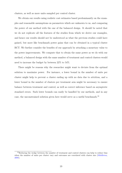clusters, as well as more units sampled per control cluster.

We obtain our results using realistic cost estimates based predominantly on the examples and reasonable assumptions on parameters which are unknown to us, and comparing the power of our method with the one of the balanced design. It should be noted that we do not replicate all the features of the studies from which we derive our examples, and hence our results should not be understood as what the previous studies could have gained, but more like benchmark power gains that can be obtained in a typical cluster RCT. We further consider the benefits of our approach by attaching a monetary value to the power improvements. We compute that to obtain the same power as we do with our method, a balanced design with the same number of treatment and control clusters would need to increase the budget by between 22% to 54%.

There might be reasons why the researcher might want to deviate from the optimal solution to maximize power. For instance, a lower bound in the number of units per cluster might help to prevent a cluster ending up with no data due to attrition, and a lower bound in the number of clusters per treatment arm might be necessary to ensure balance between treatment and control, as well as correct inference based on asymptotic standard errors. Such lower bounds can easily be handled by our methods, and in any case, the unconstrained solution given here would serve as a useful benchmark.<sup>10</sup>

<sup>&</sup>lt;sup>10</sup>Reducing the wedge between the number of treatment and control clusters can help to reduce bias when the number of units per cluster vary and outcomes are correlated with cluster size [\(Middleton,](#page-23-8) [2008\)](#page-23-8).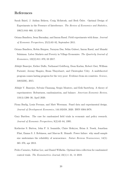#### References

- <span id="page-20-8"></span>Sarah Baird, J. Aislinn Bohren, Craig McIntosh, and Berk Özler. Optimal Design of Experiments in the Presence of Interference. The Review of Economics and Statistics, 100(5):844–860, 12 2018.
- <span id="page-20-1"></span>Oriana Bandiera, Iwan Barankay, and Imran Rasul. Field experiments with firms. Journal of Economic Perspectives, 25(3):63–82, September 2011.
- <span id="page-20-4"></span>Oriana Bandiera, Robin Burgess, Narayan Das, Selim Gulesci, Imran Rasul, and Munshi Sulaiman. Labor Markets and Poverty in Village Economies. The Quarterly Journal of Economics, 132(2):811–870, 03 2017.
- <span id="page-20-3"></span>Abhijit Banerjee, Esther Duflo, Nathanael Goldberg, Dean Karlan, Robert Osei, William Parienté, Jeremy Shapiro, Bram Thuysbaert, and Christopher Udry. A multifaceted program causes lasting progress for the very poor: Evidence from six countries. Science, 348(6236), 2015.
- <span id="page-20-6"></span>Abhijit V. Banerjee, Sylvain Chassang, Sergio Montero, and Erik Snowberg. A theory of experimenters: Robustness, randomization, and balance. American Economic Review, 110(4):1206–30, April 2020.
- <span id="page-20-7"></span>Fiona Burlig, Louis Preonas, and Matt Woerman. Panel data and experimental design. Journal of Development Economics, 144:102458, 2020. ISSN 0304-3878.
- <span id="page-20-0"></span>Gary Burtless. The case for randomized field trials in economic and policy research. Journal of Economic Perspectives, 9(2):63–84, 1995.
- <span id="page-20-2"></span>Katherine S. Button, John P. A. Ioannidis, Claire Mokrysz, Brian A. Nosek, Jonathan Flint, Emma S. J. Robinson, and Marcus R. Munafò. Power failure: why small sample size undermines the reliability of neuroscience. Nature Reviews Neuroscience,  $14(5)$ : 365–376, apr 2013.
- <span id="page-20-5"></span>Pedro Carneiro, Sokbae Lee, and Daniel Wilhelm. Optimal data collection for randomized control trials. The Econometrics Journal, 23(1):1–31, 11 2019.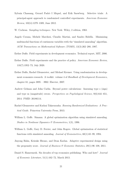- <span id="page-21-7"></span>Sylvain Chassang, Gerard Padró I Miquel, and Erik Snowberg. Selective trials: A principal-agent approach to randomized controlled experiments. American Economic Review, 102(4):1279–1309, June 2012.
- <span id="page-21-5"></span>W. Cochran. Sampling techniques. New York: Wiley, 2 edition, 1963.
- <span id="page-21-9"></span>Angelo Corana, Michele Marchesi, Claudio Martini, and Sandro Ridella. Minimizing multimodal functions of continuous variables with the "simulated annealing" algorithm. ACM Transactions on Mathematical Software (TOMS), 13(3):262–280, 1987.
- <span id="page-21-2"></span>Esther Duflo. Field experiments in development economics. Technical report, MIT, 2006.
- <span id="page-21-3"></span>Esther Duflo. Field experiments and the practice of policy. American Economic Review, 110(7):1952–73, July 2020.
- <span id="page-21-0"></span>Esther Duflo, Rachel Glennerster, and Michael Kremer. Using randomization in development economics research: A toolkit. volume 4 of Handbook of Development Economics, chapter 61, pages 3895 – 3962. Elsevier, 2007.
- <span id="page-21-4"></span>Andrew Gelman and John Carlin. Beyond power calculations: Assessing type s (sign) and type m (magnitude) errors. Perspectives on Psychological Science, 9(6):641–651, 2014. PMID: 26186114.
- <span id="page-21-8"></span>Rachel Glennerster and Kudzai Takavarasha. Running Randomized Evaluations: A Practical Guide. Princeton University Press, 2013.
- <span id="page-21-11"></span>William L. Goffe. Simann: A global optimization algorithm using simulated annealing. Studies in Nonlinear Dynamics & Econometrics, 1(3), 1996.
- <span id="page-21-10"></span>William L. Goffe, Gary D. Ferrier, and John Rogers. Global optimization of statistical functions with simulated annealing. Journal of Econometrics, 60(1):65–99, 1994.
- <span id="page-21-6"></span>Jinyong Hahn, Keisuke Hirano, and Dean Karlan. Adaptive experimental design using the propensity score. Journal of Business  $\mathscr B$  Economic Statistics, 29(1):96–108, 2011.
- <span id="page-21-1"></span>Daniel S. Hamermesh. Six decades of top economics publishing: Who and how? *Journal* of Economic Literature, 51(1):162–72, March 2013.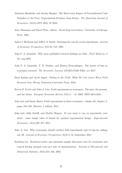- <span id="page-22-8"></span>Johannes Haushofer and Jeremy Shapiro. The Short-term Impact of Unconditional Cash Transfers to the Poor: Experimental Evidence from Kenya. The Quarterly Journal of Economics, 131(4):1973–2042, 07 2016.
- <span id="page-22-0"></span>Jerry Hausman and David Wise, editors. Social Experimentation. University of Chicago Press, 1985.
- <span id="page-22-1"></span>James J. Heckman and Jeffrey A. Smith. Assessing the case for social experiments. Journal of Economic Perspectives, 9(2):85–110, 1995.
- <span id="page-22-6"></span>John P. A. Ioannidis. Why most published research findings are false. *PLoS Medicine*, 2 (8), aug 2005.
- <span id="page-22-7"></span>John P. A. Ioannidis, T. D. Stanley, and Hristos Doucouliagos. The power of bias in economics research. The Economic Journal, 127(605):F236–F265, oct 2017.
- <span id="page-22-5"></span>Dean Karlan and Jacob Appel. Failing in the Field: What We Can Learn When Field Research Goes Wrong. Princeton University Press, 2016.
- <span id="page-22-2"></span>Steven D. Levitt and John A. List. Field experiments in economics: The past, the present, and the future. European Economic Review,  $53(1)$ : $1 - 18$ , 2009. ISSN 0014-2921.
- <span id="page-22-4"></span>John List and Imran Rasul. Field experiments in labor economics. volume 4A, chapter 2, pages 103–228. Elsevier, 1 edition, 2011.
- <span id="page-22-9"></span>John List, Sally Sadoff, and Mathis Wagner. So you want to run an experiment, now what? some simple rules of thumb for optimal experimental design. Experimental Economics, 14(4):439–457, 2011.
- <span id="page-22-3"></span>John A. List. Why economists should conduct field experiments and 14 tips for pulling one off. Journal of Economic Perspectives, 25(3):3–16, September 2011.
- <span id="page-22-10"></span>Xiaofeng Liu. Statistical power and optimum sample allocation ratio for treatment and control having unequal costs per unit of randomization. Journal of Educational and Behavioral Statistics, 28(3):231–248, 2003.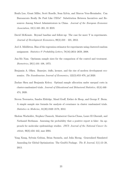- <span id="page-23-3"></span>Renfu Luo, Grant Miller, Scott Rozelle, Sean Sylvia, and Marcos Vera-Hernández. Can Bureaucrats Really Be Paid Like CEOs? Substitution Between Incentives and Resources Among School Administrators in China. Journal of the European Economic Association, 18(1):165–201, 01 2019.
- <span id="page-23-4"></span>David McKenzie. Beyond baseline and follow-up: The case for more T in experiments. Journal of Development Economics, 99(2):210 – 221, 2012.
- <span id="page-23-8"></span>Joel A. Middleton. Bias of the regression estimator for experiments using clustered random assignment. Statistics & Probability Letters, 78(16):2654–2659, 2008.
- <span id="page-23-2"></span>Jun-Mo Nam. Optimum sample sizes for the comparison of the control and treatment. Biometrics, 29(1):101–108, 1973.
- <span id="page-23-0"></span>Benjamin A. Olken. Banerjee, duflo, kremer, and the rise of modern development economics. The Scandinavian Journal of Economics, 122(3):853–878, jul 2020.
- <span id="page-23-5"></span>Zuchao Shen and Benjamin Kelcey. Optimal sample allocation under unequal costs in cluster-randomized trials. Journal of Educational and Behavioral Statistics, 45(4):446– 474, 2020.
- <span id="page-23-6"></span>Steven Teerenstra, Sandra Eldridge, Maud Graff, Esther de Hoop, and George F. Borm. A simple sample size formula for analysis of covariance in cluster randomized trials. Statistics in Medicine, 31(20):2169–2178, 2012.
- <span id="page-23-1"></span>Sholom Wacholder, Stephen Chanock, Montserrat Garcia-Closas, Laure El Ghormli, and Nathaniel Rothman. Assessing the probability that a positive report is false: An approach for molecular epidemiology studies. JNCI: Journal of the National Cancer Institute, 96(6):434–442, mar 2004.
- <span id="page-23-7"></span>Yang Xiang, Sylvain Gubian, Brian Suomela, and Julia Hoeng. Generalized Simulated Annealing for Global Optimization: The GenSA Package. The R Journal, 5(1):13–28, 2013.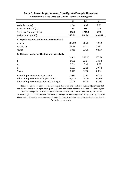<span id="page-24-0"></span>

|                                                                                                                            | (1)                      | (2)                      | (3)                      |
|----------------------------------------------------------------------------------------------------------------------------|--------------------------|--------------------------|--------------------------|
| Variable cost (v)                                                                                                          | 9.36                     | 9.36                     | 9.36                     |
| Fixed cost Control $(f_0)$                                                                                                 | 189                      | 189                      | 189                      |
| Fixed cost Treatment $(f_1)$                                                                                               | 1000                     | 1776.4                   | 3000                     |
| Available Budget (\$)                                                                                                      | 148,841                  | 148,841                  | 148,841                  |
| A.) Equal allocation of Clusters and Individuals                                                                           |                          |                          |                          |
| $k_0=k_1=k$                                                                                                                | 105.02                   | 66.25                    | 42.12                    |
| $m_0$ = $m_1$ = $m$                                                                                                        | 12.19                    | 15.02                    | 18.41                    |
| Power                                                                                                                      | 0.881                    | 0.715                    | 0.529                    |
| B.) Optimal number of Clusters and Individuals                                                                             |                          |                          |                          |
| $k_0$                                                                                                                      | 195.31                   | 164.15                   | 137.78                   |
| $k_1$                                                                                                                      | 84.91                    | 53.54                    | 34.58                    |
| m <sub>0</sub>                                                                                                             | 7.39                     | 7.39                     | 7.39                     |
| m <sub>1</sub>                                                                                                             | 17.00                    | 22.65                    | 29.44                    |
| Power                                                                                                                      | 0.916                    | 0.800                    | 0.651                    |
| Power Improvement vs Approach A<br>Value of Improvement vs Approach A $(\xi)$<br>Value of Improvement as Percent of Budget | 0.035<br>19,428<br>13.1% | 0.085<br>32,736<br>22.0% | 0.122<br>46,219<br>31.1% |

#### **Heterogenous Fixed Costs per Cluster - School Grant Program Table 1. Power Improvement From Optimal Sample Allocation**

**Notes:** The values for number of individuals per cluster (m) and number of clusters (k) are those that achieve 80% power at 5% significance given i.) the cost parameters specified in the top 3 rows and ii.) the available budget. Other assumed parameters: effect size 0.25, standard deviation 1, intra-cluster correlation  $\binom{n}{0}$  = 0.27. We calculate the "value of the improvement vs Approach A" by adjusting k in panel A in order to achieve the same power as calculated in Panel B, and then calculating the budget required to for this larger value of k.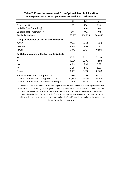<span id="page-25-0"></span>

|                                                                                                                            | (1)                      | (2)                      | (3)                      |
|----------------------------------------------------------------------------------------------------------------------------|--------------------------|--------------------------|--------------------------|
| Fixed cost (f)                                                                                                             | 250                      | 250                      | 250                      |
| Variable Cost Control $(v_0)$                                                                                              | 100                      | 100                      | 100                      |
| Variable cost Treatment $(v_1)$                                                                                            | 500                      | 854                      | 1200                     |
| Available Budget (\$)                                                                                                      | 260,855                  | 260,855                  | 260,855                  |
| A.) Equal allocation of Clusters and Individuals                                                                           |                          |                          |                          |
| $k_0 = k_1 = k$                                                                                                            | 74.69                    | 53.10                    | 41.58                    |
| $m_0$ = $m_1$ = $m$                                                                                                        | 4.99                     | 4.63                     | 4.44                     |
| Power                                                                                                                      | 0.872                    | 0.714                    | 0.590                    |
| <b>B.) Optimal number of Clusters and Individuals</b>                                                                      |                          |                          |                          |
| $k_0$                                                                                                                      | 95.54                    | 81.43                    | 72.93                    |
| $k_1$                                                                                                                      | 95.54                    | 81.43                    | 72.93                    |
| m <sub>0</sub>                                                                                                             | 6.89                     | 6.89                     | 6.89                     |
| m <sub>1</sub>                                                                                                             | 3.08                     | 2.36                     | 1.99                     |
| Power                                                                                                                      | 0.908                    | 0.800                    | 0.708                    |
| Power Improvement vs Approach A<br>Value of Improvement vs Approach A $(\xi)$<br>Value of Improvement as Percent of Budget | 0.036<br>32,940<br>12.6% | 0.086<br>57,422<br>22.0% | 0.117<br>75,500<br>28.9% |

#### **Table 2. Power Improvement From Optimal Sample Allocation Heterogenous Variable Costs per Cluster - Unconditional Cash Transfer**

**Notes:** The values for number of individuals per cluster (m) and number of clusters (k) are those that achieve 80% power at 5% significance given i.) the cost parameters specified in the top 3 rows and ii.) the available budget. Other assumed parameters: effect size 0.25, standard deviation 1, intra-cluster correlation ( $_0$ ) = 0.05. We calculate the "value of the improvement vs Approach A" by adjusting k in panel A in order to achieve the same power as calculated in Panel B, and then calculating the budget requir to pay for this larger value of k.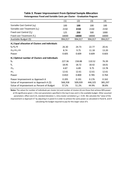<span id="page-26-0"></span>

|                                                  | (1)     | (2)     | (3)     | (4)     |
|--------------------------------------------------|---------|---------|---------|---------|
| Variable Cost Control $(v_0)$                    | 100     | 100     | 100     | 100     |
| Variable cost Treatment $(v_1)$                  | 2150    | 2150    | 2150    | 2150    |
| Fixed cost Control $(f_0)$                       | 125     | 250     | 500     | 1000    |
| Fixed cost Treatment $(f_1)$                     | 18000   | 18000   | 18000   | 18000   |
| Available Budget (\$)                            | 994,017 | 994,017 | 994,017 | 994,017 |
| A.) Equal allocation of Clusters and Individuals |         |         |         |         |
| $k_0 = k_1 = k$                                  | 26.30   | 24.73   | 22.77   | 20.41   |
| $m_0$ = $m_1$ = $m$                              | 8.74    | 9.75    | 11.18   | 13.20   |
| Power                                            | 0.605   | 0.609   | 0.609   | 0.603   |
| B.) Optimal number of Clusters and Individuals   |         |         |         |         |
| $k_0$                                            | 227.36  | 158.88  | 110.52  | 76.39   |
| $k_1$                                            | 18.95   | 18.72   | 18.42   | 18.01   |
| m <sub>0</sub>                                   | 4.87    | 6.89    | 9.75    | 13.78   |
| m <sub>1</sub>                                   | 12.61   | 12.61   | 12.61   | 12.61   |
| Power                                            | 0.810   | 0.800   | 0.785   | 0.764   |
| Power Improvement vs Approach A                  | 0.205   | 0.191   | 0.176   | 0.162   |
| Value of Improvement vs Approach A $(\xi)$       | 568,358 | 509,039 | 446,325 | 385,297 |
| Value of Improvement as Percent of Budget        | 57.2%   | 51.2%   | 44.9%   | 38.8%   |

#### **Table 3. Power Improvement From Optimal Sample Allocation Heterogenous Fixed and Variable Costs per Cluster - Graduation Program**

**Notes:** The values for number of individuals per cluster (m) and number of clusters (k) are those that achieve 80% power at 5% significance given i.) the cost parameters specified in the top 4 rows and ii.) the available budget. Other assumed parameters: effect size 0.25, standard deviation 1, intra-cluster correlation ( $_0$ ) = 0.05. We calculate the "value of the improvement vs Approach A" by adjusting k in panel A in order to achieve the same power as calculated in Panel B, and the calculating the budget required to pay for this larger value of k.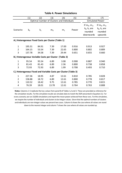<span id="page-27-0"></span>

|                                                                 | (1)    | (2)                                                   | (3)            | (4)   | (5)   | (6)                                                             | (7)                                                           |
|-----------------------------------------------------------------|--------|-------------------------------------------------------|----------------|-------|-------|-----------------------------------------------------------------|---------------------------------------------------------------|
|                                                                 |        | Optimal number of Clusters and Individuals            |                |       |       | <b>Simulated Power</b>                                          |                                                               |
| Scenario:                                                       | $k_0$  | $k_1$                                                 | m <sub>0</sub> | $m_1$ | Power | If $m_0$ , $m_1$ ,<br>$k_0$ , $k_1$ are<br>rounded<br>downwards | If $m_0$ , $m_1$ ,<br>$k_0$ , $k_1$ are<br>rounded<br>upwards |
| A.) Heterogenous Fixed Costs per Cluster (Table 1)              |        |                                                       |                |       |       |                                                                 |                                                               |
| 1                                                               | 195.31 | 84.91                                                 | 7.39           | 17.00 | 0.916 | 0.913                                                           | 0.927                                                         |
| $\overline{2}$                                                  | 164.15 | 53.54                                                 | 7.39           | 22.65 | 0.800 | 0.802                                                           | 0.809                                                         |
| 3                                                               | 137.78 | 34.58                                                 | 7.39           | 29.44 | 0.651 | 0.655                                                           | 0.660                                                         |
|                                                                 |        | B.) Heterogenous Variable Costs per Cluster (Table 2) |                |       |       |                                                                 |                                                               |
| 1                                                               | 95.54  | 95.54                                                 | 6.89           | 3.08  | 0.908 | 0.887                                                           | 0.940                                                         |
| $\overline{2}$                                                  | 81.43  | 81.43                                                 | 6.89           | 2.36  | 0.800 | 0.738                                                           | 0.858                                                         |
| 3                                                               | 72.93  | 72.93                                                 | 6.89           | 1.99  | 0.708 | 0.493                                                           | 0.710                                                         |
| C.) Heterogenous Fixed and Variable Costs per Cluster (Table 3) |        |                                                       |                |       |       |                                                                 |                                                               |
| 1                                                               | 227.36 | 18.95                                                 | 4.87           | 12.61 | 0.810 | 0.785                                                           | 0.828                                                         |
| $\overline{2}$                                                  | 158.88 | 18.72                                                 | 6.89           | 12.61 | 0.800 | 0.778                                                           | 0.817                                                         |
| 3                                                               | 110.52 | 18.42                                                 | 9.75           | 12.61 | 0.785 | 0.770                                                           | 0.815                                                         |
| 4                                                               | 76.39  | 18.01                                                 | 13.78          | 12.61 | 0.764 | 0.763                                                           | 0.808                                                         |

#### **Table 4. Power Simulations**

**Notes:** Columns 1-5 replicate the key values from panel B of Tables 1,2 and 3. These are provided as reference for the simulation results. For the simulation results we simulate data to match the DGP presented in Equation (1). For every scenario, we run 10,000 simulations and report the mean power achieved from these runs. For the simulation, we require the number of individuals and clusters to be integer values. Given that the optimal numbers of clusters and individuals are non-integer values we present two cases. Column 6 shows the case where all values are round down to the nearest integer and column 7 shows the case where all values are rounded up.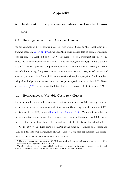#### Appendix

## <span id="page-28-0"></span>A Justification for parameter values used in the Examples

#### A.1 Heterogeneous Fixed Costs per Cluster

For our example on heterogenous fixed costs per cluster, based on the school grant programme based on [Luo et al.](#page-23-3) [\(2019\)](#page-23-3), we used their their budget data to estimate the fixed cost per control school  $(f_0)$  to be \$189. The fixed cost of a treatment school  $(f_1)$  includes the same transportation cost of \$ 189 plus a school grant of \$ 1,587 giving a total of  $$1,776<sup>11</sup>$ . The cost per each sampled student includes the interviewing costs (field team cost of administering the questionnaires, questionnaire printing costs, as well as costs of measuring student blood hemoglobin concentration through finger-prick blood samples.) Using their budget data, we estimate the cost per sampled child,  $v$ , to be \$9.36. Based on [Luo et al.](#page-23-3) [\(2019\)](#page-23-3), we estimate the intra cluster correlation coefficient,  $\rho$  to be 0.27.

#### A.2 Heterogeneous Variable Costs per Cluster

For our example on unconditional cash transfers in which the variable costs per cluster are higher in treatment than control clusters, we use the average transfer amount (\$ 709) and transfer fee of (\$ 45) as per [\(Haushofer and Shapiro,](#page-22-8) [2016\)](#page-22-8). We do not have data on the cost of interviewing households in this setting, but we will assume it is \$ 100. Hence, the cost of a control household is \$ 100, and the cost of a treatment household is \$ 854  $(=709+45+100).$ <sup>12</sup> The fixed costs per cluster is the same in treatment and control and equal to \$ 250 (our own assumption on the transportation cost per cluster). We assume the intra cluster correlation coefficient,  $\rho$  to be 0.05.

 $11$ The school grant was computed as 48 RMB per student in the school, and the average school has 210 students. Exchange rate  $$1 = 6.3$  RMB.

 $12$ We ignore here that some households in treatment clusters might be sampled but not given the cash transfer to estimate the size of the spillovers associated to the cash transfer.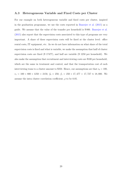#### A.3 Heterogeneous Variable and Fixed Costs per Cluster

For our example on both heterogeneous variable and fixed costs per cluster, inspired in the graduation programme, we use the costs reported in [Banerjee et al.](#page-20-3) [\(2015\)](#page-20-3) as a guide. We assume that the value of the transfer per household is \$ 800. [Banerjee et al.](#page-20-3) [\(2015\)](#page-20-3) also report that the supervision costs associated to this type of programs are very important. A share of these supervision costs will be fixed at the cluster level: office rental costs, IT equipment, etc. As we do not have information on what share of the total supervision costs is fixed and what is variable, we make the assumption that half of cluster supervision costs are fixed (\$ 17477), and half are variable (\$ 1250 per household). We also make the assumption that recruitment and interviewing costs are \$100 per household, which are the same in treatment and control, and that the transportation cost of each interviewing team to a cluster amount to \$250. Hence, our assumptions are that  $v_0 = 100$ ,  $v_1 = 100 + 800 + 1250 = 2150$ ,  $f_0 = 250$ ,  $f_1 = 250 + 17,477 = 17,727 \approx 18,000$ . We assume the intra cluster correlation coefficient,  $\rho$  to be 0.05.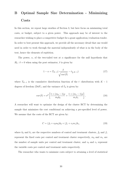## <span id="page-30-0"></span>B Optimal Sample Size Determination - Minimizing **Costs**

In this section, we repeat large swathes of Section [3,](#page-8-0) but here focus on minimizing total costs, or budget, subject to a given power. This approach may be of interest to the researcher wishing to place a competitive budget for a grant application/evaluation tender. In order to best present this approach, we provide all the necessary detail that one would need in order to work through the material independently of what is in the body of the text, hence the elements of repitition.

The power,  $\kappa$ , of the two-tailed test at  $\alpha$  significance for the null hypothesis that  $H_0$ :  $\delta = 0$  when using the post estimator,  $\delta$  is given by:

<span id="page-30-1"></span>
$$
1 - \kappa = T_{K-1} \left( \frac{\delta}{\sqrt{var(\hat{\delta})}} - t_{\frac{\alpha}{2}, K-1} \right) \tag{17}
$$

where  $T_{K-1}$  is the cumulative distribution function of the t-distribution with  $K-1$ degrees of freedom (DoF), and the variance of  $\hat{\delta}_A$  is given by:

$$
var(\hat{\delta}) = \sigma^2 \left[ \frac{1 + (m_0 - 1)\rho}{m_0 k_0} + \frac{1 + (m_1 - 1)\rho}{m_1 k_1} \right],
$$
\n(18)

A researcher will want to optimize the design of the cluster RCT by determining the sample that minimizes the cost conditional on achieving a pre-specified level of power. We assume that the costs of the RCT are given by:

$$
C = (f_0 + v_0 m_0)k_0 + (f_1 + v_1 m_1)k_1,
$$
\n(19)

where  $k_0$  and  $k_1$  are the respective numbers of control and treatment clusters,  $f_0$  and  $f_1$ represent the fixed costs per control and treatment cluster respectively,  $m_0$  and  $m_1$  are the number of sample units per control and treatment cluster, and  $v_0$  and  $v_1$  represent the variable costs per control and treatment units respectively.

The researcher who wants to minimize costs subject to attaining a level of statistical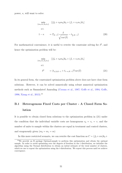power,  $\kappa$ , will want to solve:

<span id="page-31-1"></span>
$$
\min_{\{m_0, m_1, k_0, k_1\}} \left[ (f_0 + v_0 m_0) k_0 + (f_1 + v_1 m_1) k_1 \right]
$$
\ns.t.

\n
$$
1 - \kappa = T_{K-1} \left( \frac{\delta}{\sqrt{var(\hat{\delta})}} - t_{\frac{\alpha}{2}, K-1} \right) \tag{20}
$$

For mathematical convenience, it is useful to rewrite the constraint solving for  $\delta^2$ , and hence the optimization problem will be:

<span id="page-31-0"></span>
$$
\min_{\{m_0, m_1, k_0, k_1\}} \left[ (f_0 + v_0 m_0) k_0 + (f_1 + v_1 m_1) k_1 \right]
$$
\ns.t.

\n
$$
\delta^2 = (t_{\alpha/2, K-1} + t_{1-\kappa, K-1})^2 \text{var}(\hat{\delta}) \tag{21}
$$

In its general form, the constrained optimization problem above does not have close form solutions. However, it can be solved numerically using robust numerical optimization methods such as Simmulated Annealing [\(Corana et al.,](#page-21-9) [1987;](#page-21-9) [Goffe et al.,](#page-21-10) [1994;](#page-21-10) [Goffe,](#page-21-11) [1996;](#page-21-11) [Xiang et al.,](#page-23-7) [2013\)](#page-23-7).<sup>13</sup>

## B.1 Heterogenous Fixed Costs per Cluster - A Closed Form Solution

It is possible to obtain closed form solutions to the optimization problem in [\(21\)](#page-31-0) under the condition that the individual variable costs are homogenous  $v_0 = v_1 = v$ , and the number of units to sample within the clusters are equal in treatment and control clusters, and exogenously given  $(m_0 = m_1 = m)$ 

In this more restricted scenario, we can rewrite the cost function as  $C = (f_0 + v m)k_0 +$ 

 $13\,\text{We provide an R package Optimal-sample to perform this optimization and obtain the optimal.}$ sample. In order to avoid optimizing over the degrees of freedom in the  $t$  distribution, we initialize the algorithm using the Normal distribution to obtain an initial estimate of the total number of clusters, which we use to repeat the optimization using the t-distribution. We repeat this process until we achieve convergence.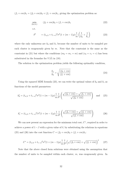$(f_1 + v_m)k_1 = (f_0 + v_m)k_0 + (f_1 + v_m)k_1$ , giving the optimization problem as:

$$
\min_{\{k_0, k_1\}} \qquad (f_0 + \nu m)k_0 + (f_1 + \nu m)k_1
$$
\n
$$
\text{s.t.}
$$
\n
$$
\delta^2 = (t_{\alpha/2} + t_{1-\kappa})^2 \sigma^2 (1 + (m-1)\rho) \frac{1}{m} \left( \frac{1}{k_0} + \frac{1}{k_1} \right)
$$
\n
$$
(23)
$$

where the only unknowns are  $k_0$  and  $k_1$  because the number of units to be sampled per each cluster is exogenously given by  $m$ . Note that the constraint is the same as the constraint in [\(21\)](#page-31-0) but where the conditions  $(m_0 = m_1 = m)$  and  $(v_0 = v_1 = v)$  has been substituted in the formulae for  $V(\hat{\delta})$  in [\(18\)](#page-30-1).

The solution to the optimization problem yields the following optimality condition,

<span id="page-32-1"></span><span id="page-32-0"></span>
$$
\frac{k_1}{k_0} = \sqrt{\frac{(f_0 + v m)}{(f_1 + v m)}}
$$
\n(24)

Using the squared MDE formula [\(23\)](#page-32-0), we can write the optimal values of  $k_0$  and  $k_1$  as functions of the model parameters:

<span id="page-32-2"></span>
$$
k_0^* = (t_{\alpha/2} + t_{1-\kappa})^2 \sigma^2 (1 + (m-1)\rho) \frac{1}{m} \frac{1}{\delta^2} \left( \frac{\sqrt{(f_0 + v m)} + \sqrt{(f_1 + v m)}}{\sqrt{(f_0 + v m)}} \right) \text{ and } (25)
$$

$$
k_1^* = (t_{\alpha/2} + t_{1-\kappa})^2 \sigma^2 (1 + (m-1)\rho) \frac{1}{m} \frac{1}{\delta^2} \left( \frac{\sqrt{(f_0 + v m)} + \sqrt{(f_1 + v m)}}{\sqrt{(f_1 + v m)}} \right)
$$
(26)

We can now present an expression for the minimum total cost,  $C^*$ , required in order to achieve a power of  $1-\beta$  with a given value of  $\delta$ , by substituting the relations in equations [\(25\)](#page-32-1) and [\(26\)](#page-32-2) into the cost function  $C = (f_0 + v_m)k_0 + (f_1 + v_m)k_1$ :

$$
C^* = (t_{\alpha/2} + t_{1-\kappa})^2 \sigma^2 (1 + (m-1)\rho) \frac{1}{m} \frac{1}{\delta^2} \left( \sqrt{(f_0 + v m)} + \sqrt{(f_1 + v m)} \right)^2 \tag{27}
$$

Note that the above closed form solutions were obtained using the assumption that the number of units to be sampled within each cluster,  $m$ , was exogenously given. In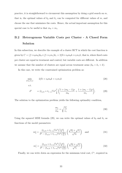practice, it is straightforward to circumvent this assumption by doing a grid search on m, that is, the optimal values of  $k_0$  and  $k_1$  can be computed for different values of m, and choose the one that minimizes the costs. Hence, the actual important assumption for this special case to be useful is that  $m_0 = m_1$ .

## B.2 Heterogenous Variable Costs per Cluster - A Closed Form Solution

In this subsection, we describe the example of a cluster RCT in which the cost function is given by  $C = (f + v_0m_0)k_0 + (f + v_1m_1)k_1 = 2fk + v_0m_0k + v_1m_1k$ , that is, where fixed costs per cluster are equal in treatment and control, but variable costs are different. In addition we assume that the number of clusters are equal across treatment arms  $(k_0 = k_1 = k)$ .

In this case, we write the constrained optimization problem as:

$$
\min_{\{m_0, m_1\}} \qquad 2fk + v_0 m_0 k + v_1 m_1 k \tag{28}
$$
\n
$$
\text{s.t.} \qquad \delta^2 \qquad = (t_{\alpha/2} + t_{1-\kappa})^2 \sigma^2 \frac{1}{k} \left( \frac{1 + (m_0 - 1)\rho}{m_0} + \frac{1 + (m_1 - 1)\rho}{m_1} \right). \tag{29}
$$

The solution to the optimization problem yields the following optimality condition,

<span id="page-33-1"></span><span id="page-33-0"></span>
$$
\frac{m_1}{m_0} = \sqrt{\frac{v_0}{v_1}}
$$
\n(30)

Using the squared MDE formula [\(29\)](#page-33-0), we can write the optimal values of  $k_0$  and  $k_1$  as functions of the model parameters:

$$
m_0^* = \frac{(t_{\alpha/2} + t_{1-\kappa})^2 \sigma^2 \left(\frac{1-\rho}{k}\right)}{\delta^2 - (t_{\alpha/2} + t_{1-\kappa})^2 \sigma^2 \left(\frac{2\rho}{k}\right)} \left(\frac{\sqrt{v_0} + \sqrt{v_1}}{\sqrt{v_0}}\right) \text{ and } (31)
$$

$$
m_1^* = \frac{(t_{\alpha/2} + t_{1-\kappa})^2 \sigma^2 \left(\frac{1-\rho}{k}\right)}{\delta^2 - (t_{\alpha/2} + t_{1-\kappa})^2 \sigma^2 \left(\frac{2\rho}{k}\right)} \left(\frac{\sqrt{v_0} + \sqrt{v_1}}{\sqrt{v_1}}\right)
$$
(32)

<span id="page-33-2"></span>Finally, we can write down an expression for the minimum total cost,  $C^*$ , required in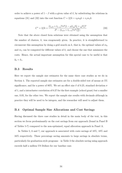order to achieve a power of  $1 - \beta$  with a given value of  $\delta$ , by substituting the relations in equations [\(31\)](#page-33-1) and [\(32\)](#page-33-2) into the cost function  $C = 2fk + v_0m_0k + v_1m_1k$ :

$$
C^* = 2fk + \frac{(t_{\alpha/2} + t_{1-\kappa})^2 \sigma^2 (1-\rho)(\sqrt{v_0} + \sqrt{v_1})^2}{\delta^2 - (t_{\alpha/2} + t_{1-\kappa})^2 \sigma^2(\frac{2\rho}{k})}
$$
(33)

Note that the above closed form solutions were obtained using the assumption that the number of clusters,  $k$ , was exogenously given. In practice, it is straightforward to circumvent this assumption by doing a grid search on k, that is, the optimal values of  $m_0$ and  $m_1$  can be computed for different values of k, and choose the one that minimizes the costs. Hence, the actual important assumption for this special case to be useful is that  $k_0 = k_1$ .

#### B.3 Results

Here we report the sample size estimates for the same three case studies as we do in Section [4.](#page-13-0) The reported sample size estimates are for a double-sided test of means at 5% significance, and for a power of 80%. We set an effect size  $\delta$  of 0.25, standard deviation  $\sigma$ of 1, and a intracluster correlation of 0.27 for the first example (school grant) but a smaller one, 0.05, for the other two. We report the sample size results with decimals although in practice they will be need to be integers, and the researcher will need to adjust them.

#### B.4 Optimal Sample Size Allocations and Cost Savings

Having discussed the three case studies in detail in the main body of the text, in this section we focus predominantly on the cost savings from our approach (found in Panel B of Tables [5-](#page-36-0)[7\)](#page-38-0) compared to the non-optimized, equal allocation approach in Panel A.

In Tables [5,](#page-36-0) [6](#page-37-0) and [7,](#page-38-0) our approach is associated with costs savings of 18%, 18% and 34% respectively. These percentage saving amounts to large savings in absolute terms, particularly for graduation-style programs – in Table [3](#page-26-0) the absolute saving using approach exceeds half a million US Dollars for our baseline case.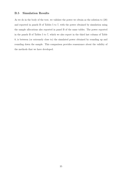#### B.5 Simulation Results

As we do in the body of the text, we validate the power we obtain as the solution to [\(20\)](#page-31-1) and reported in panels B of Tables [5](#page-36-0) to [7,](#page-38-0) with the power obtained by simulation using the sample allocations also reported in panel B of the same tables. The power reported in the panels B of Tables [5](#page-36-0) to [7,](#page-38-0) which we also report in the third last column of Table [8,](#page-39-0) is between (or extremely close to) the simulated power obtained by rounding up and rounding down the sample. This comparison provides reassurance about the validity of the methods that we have developed.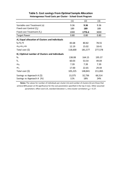<span id="page-36-0"></span>

|                                                         | (1)           | (2)           | (3)           |
|---------------------------------------------------------|---------------|---------------|---------------|
| Variable cost Treatment (v)                             | 9.36          | 9.36          | 9.36          |
| Fixed cost Control $(f_0)$                              | 189           | 189           | 189           |
| Fixed cost Treatment $(f_1)$                            | 1000          | 1776.4        | 3000          |
| <b>Target Power</b>                                     | 0.80          | 0.80          | 0.80          |
| A.) Equal allocation of Clusters and Individuals        |               |               |               |
| $k_0 = k_1 = k$                                         | 83.68         | 80.82         | 78.55         |
| $m_0$ = $m_1$ = $m$                                     | 12.19         | 15.02         | 18.41         |
| Total cost $(5)$                                        | 118,600       | 181,577       | 277,578       |
| B.) Optimal number of Clusters and Individuals          |               |               |               |
| $k_0$                                                   | 138.08        | 164.15        | 195.37        |
| $k_1$                                                   | 60.03         | 53.54         | 49.04         |
| m <sub>0</sub>                                          | 7.39          | 7.39          | 7.39          |
| m <sub>1</sub>                                          | 17.00         | 22.65         | 29.44         |
| Total cost $(5)$                                        | 105,225       | 148,841       | 211,065       |
| Savings vs Approach A (\$)<br>Savings vs Approach A (%) | 13,375<br>11% | 32,736<br>18% | 66,514<br>24% |
|                                                         |               |               |               |

#### **Table 5. Cost savings From Optimal Sample Allocation Heterogenous Fixed Costs per Cluster - School Grant Program**

**Notes:** The values for number of individuals per cluster (m) and number of clusters (k) are those that achieve 80% power at 5% significance for the cost parameters specified in the top 3 rows. Other assumed parameters: effect size 0.25, standard deviation 1, intra-cluster correlation ( $\rho$ ) = 0.27.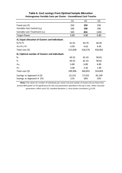<span id="page-37-0"></span>

|                                                         | (1)           | (2)           | (3)           |
|---------------------------------------------------------|---------------|---------------|---------------|
| Fixed cost (f)                                          | 250           | 250           | 250           |
| Variable Cost Control $(v_0)$                           | 100           | 100           | 100           |
| Variable cost Treatment $(v_1)$                         | 500           | 854           | 1200          |
| <b>Target Power</b>                                     | 0.80          | 0.80          | 0.80          |
| A.) Equal allocation of Clusters and Individuals        |               |               |               |
| $k_0 = k_1 = k$                                         | 61.01         | 64.79         | 66.95         |
| $m_0$ = $m_1$ = $m$                                     | 4.99          | 4.63          | 4.44          |
| Total cost $(5)$                                        | 213,058       | 318,276       | 420,002       |
| B.) Optimal number of Clusters and Individuals          |               |               |               |
| $k_0$                                                   | 69.55         | 81.43         | 90.81         |
| $k_1$                                                   | 69.55         | 81.43         | 90.81         |
| m <sub>0</sub>                                          | 6.89          | 6.89          | 6.89          |
| m <sub>1</sub>                                          | 3.08          | 2.36          | 1.99          |
| Total cost $(5)$                                        | 189,906       | 260,855       | 324,803       |
| Savings vs Approach A (\$)<br>Savings vs Approach A (%) | 23,152<br>11% | 57,422<br>18% | 95,199<br>23% |

#### **Table 6. Cost savings From Optimal Sample Allocation Heterogenous Variable Costs per Cluster - Unconditional Cash Transfer**

**Notes:** The values for number of individuals per cluster (m) and number of clusters (k) are those that achieve 80% power at 5% significance for the cost parameters specified in the top 3 rows. Other assumed parameters: effect size 0.25, standard deviation 1, intra-cluster correlation ( $\rho$ ) 0.05.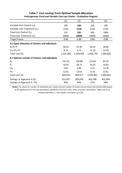<span id="page-38-0"></span>

|                                                         | (1)            | (2)            | (3)            | (4)            |
|---------------------------------------------------------|----------------|----------------|----------------|----------------|
| Variable Cost Control $(v_0)$                           | 100            | 100            | 100            | 100            |
| Variable cost Treatment $(v_1)$                         | 2150           | 2150           | 2150           | 2150           |
| Fixed cost Control $(f_0)$                              | 125            | 250            | 500            | 1000           |
| Fixed cost Treatment $(f_1)$                            | 18000          | 18000          | 18000          | 18000          |
| <b>Target Power</b>                                     | 0.80           | 0.80           | 0.80           | 0.80           |
| A.) Equal allocation of Clusters and Individuals        |                |                |                |                |
| $k_0 = k_1 = k$                                         | 40.25          | 37.40          | 34.24          | 30.94          |
| $m_0$ = $m_1$ = $m$                                     | 8.74           | 9.75           | 11.18          | 13.20          |
| Total cost $(5)$                                        | 1,521,285      | 1,503,056      | 1,494,770      | 1,506,856      |
| B.) Optimal number of Clusters and Individuals          |                |                |                |                |
| $k_0$                                                   | 221.42         | 158.88         | 114.63         | 83.29          |
| $k_1$                                                   | 18.45          | 18.72          | 19.10          | 19.63          |
| $m_0$                                                   | 4.87           | 6.89           | 9.75           | 13.78          |
| m <sub>1</sub>                                          | 12.61          | 12.61          | 12.61          | 12.61          |
| Total cost $(5)$                                        | 968,078        | 994,017        | 1,030,982      | 1,083,862      |
| Savings vs Approach A (\$)<br>Savings vs Approach A (%) | 553,207<br>36% | 509,039<br>34% | 463,788<br>31% | 422,994<br>28% |

#### **Table 7. Cost savings From Optimal Sample Allocation Heterogenous Fixed and Variable Costs per Cluster - Graduation Program**

**Notes:** The values for number of individuals per cluster (m) and number of clusters (k) are those that achieve 80% power at 5% significance for the cost parameters specified in the top 3 rows. Other assumed parameters: effect size 0.25, standard deviation 1, intra-cluster correlation ( $\rho$ ) 0.05.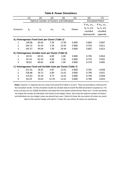<span id="page-39-0"></span>

|                                                       | (1)                                                             | (2)                                                | $\left( 3\right)$ | (4)                    | (5)   | (6)                                                             | (7)                                                           |
|-------------------------------------------------------|-----------------------------------------------------------------|----------------------------------------------------|-------------------|------------------------|-------|-----------------------------------------------------------------|---------------------------------------------------------------|
|                                                       | Optimal number of Clusters and Individuals                      |                                                    |                   | <b>Simulated Power</b> |       |                                                                 |                                                               |
| Scenario:                                             | $k_0$                                                           | $k_1$                                              | m <sub>0</sub>    | m <sub>1</sub>         | Power | If $m_0$ , $m_1$ ,<br>$k_0$ , $k_1$ are<br>rounded<br>downwards | If $m_0$ , $m_1$ ,<br>$k_0$ , $k_1$ are<br>rounded<br>upwards |
|                                                       |                                                                 | A.) Heterogenous Fixed Costs per Cluster (Table 5) |                   |                        |       |                                                                 |                                                               |
| 1                                                     | 138.08                                                          | 60.03                                              | 7.39              | 17.00                  | 0.800 | 0.804                                                           | 0.807                                                         |
| $\overline{2}$                                        | 164.15                                                          | 53.54                                              | 7.39              | 22.65                  | 0.800 | 0.793                                                           | 0.811                                                         |
| 3                                                     | 195.37                                                          | 49.04                                              | 7.39              | 29.44                  | 0.800 | 0.802                                                           | 0.813                                                         |
| B.) Heterogenous Variable Costs per Cluster (Table 6) |                                                                 |                                                    |                   |                        |       |                                                                 |                                                               |
| 1                                                     | 69.55                                                           | 69.55                                              | 6.89              | 3.08                   | 0.800 | 0.785                                                           | 0.854                                                         |
| $\overline{2}$                                        | 81.43                                                           | 81.43                                              | 6.89              | 2.36                   | 0.800 | 0.753                                                           | 0.855                                                         |
| 3                                                     | 90.81                                                           | 90.81                                              | 6.89              | 1.99                   | 0.800 | 0.570                                                           | 0.805                                                         |
|                                                       | C.) Heterogenous Fixed and Variable Costs per Cluster (Table 7) |                                                    |                   |                        |       |                                                                 |                                                               |
| 1                                                     | 221.42                                                          | 18.45                                              | 4.87              | 12.61                  | 0.800 | 0.781                                                           | 0.828                                                         |
| $\overline{2}$                                        | 158.88                                                          | 18.72                                              | 6.89              | 12.61                  | 0.800 | 0.790                                                           | 0.821                                                         |
| 3                                                     | 114.63                                                          | 19.10                                              | 9.75              | 12.61                  | 0.800 | 0.790                                                           | 0.828                                                         |
| 4                                                     | 83.29                                                           | 19.63                                              | 13.78             | 12.61                  | 0.800 | 0.789                                                           | 0.816                                                         |

#### **Table 8. Power Simulations**

**Notes:** Columns 1-5 replicate the key values from panel B of Tables 5, 6 and 7. These are provided as reference for the simulation results. For the simulation results we simulate data to match the DGP presented in Equation (1). For every scenario, we run 10,000 simulations and report the mean power achieved from these runs. For the simulation, we require the number of individuals and clusters to be integer values. Given that the optimal numbers of clusters and individuals are non-integer values we present two cases. Column 6 shows the case where all values are round down to the nearest integer and column 7 shows the case where all values are rounded up.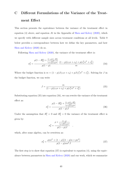## <span id="page-40-0"></span>C Different Formulations of the Variance of the Treatment Effect

This section presents the equivalence between the variance of the treatment effect in equation [\(4\)](#page-8-1) above, and equation A1 in the Appendix of [Shen and Kelcey](#page-23-5) [\(2020\)](#page-23-5), which we specify with different sample sizes across treatment conditions at all levels. Table [9](#page-43-0) below provides a correspondence between how we define the key parameters, and how [Shen and Kelcey](#page-23-5) [\(2020\)](#page-23-5) do so.

Following [Shen and Kelcey](#page-23-5) [\(2020\)](#page-23-5), the variance of the treatment effect is:

$$
\sigma_{\delta}^{2} = \frac{\rho(1 - R_{2}^{2}) + \frac{(1 - \rho)(1 - R_{1}^{2})}{\left[\frac{nn^{T}}{(1 - p)n + pn^{T}}\right]}}{p(1 - p)} \cdot \frac{(1 - p)(c_{1}n + c_{2}) + p(c_{1}^{T}n^{T} + c_{2}^{T})}{m}
$$
(34)

Where the budget function is  $m = (1 - p)J(c_1n + c_2) + pJ(c_1^T n^T + c_2^T)$ . Solving for J in the budget function, we can write

<span id="page-40-2"></span><span id="page-40-1"></span>
$$
J = \frac{m}{(1-p)(c_1n + c_2) + p(c_1^T n^T + c_2^T)}
$$
(35)

Substituting equation [\(35\)](#page-40-1) into equation [\(34\)](#page-40-2), we can rewrite the variance of the treatment effect as:

$$
\sigma_{\delta}^{2} = \frac{\rho(1 - R_{2}^{2}) + \frac{(1 - \rho)(1 - R_{1}^{2})}{\left[\frac{nn^{T}}{(1 - p)n + pn^{T}}\right]}}{p(1 - p)J}
$$
(36)

Under the assumption that  $R_1^2 = 0$  and  $R_2^2 = 0$  the variance of the treatment effect is given by:

$$
\sigma_{\delta}^2 = \frac{\rho + \frac{(1-\rho)}{\lceil \frac{nn^T}{(1-p)n + pn^T} \rceil}}{p(1-p)J}
$$

which, after some algebra, can be rewritten as:

$$
\sigma_{\delta}^{2} = \frac{\rho n n^{T} + (1 - \rho)[(1 - p)n + pn^{T}]}{p(1 - p)n n^{T} J}
$$
\n(37)

<span id="page-40-3"></span>,

The first step is to show that equation  $(37)$  is equivalent to equation  $(4)$ , using the equivalence between parameters in [Shen and Kelcey](#page-23-5) [\(2020\)](#page-23-5) and our work, which we summarize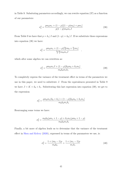in Table [9.](#page-43-0) Subsituting parameters accordingly, we can rewrite equation [\(37\)](#page-40-3) as a function of our parameters:

<span id="page-41-0"></span>
$$
\sigma_{\delta}^2 = \frac{\rho m_0 m_1 + (1 - \rho)[(1 - p)m_0) + pm_1]}{p(1 - p)m_0 m_1 J}
$$
\n(38)

From Table [9](#page-43-0) we have that  $p = k_1/J$  and  $(1-p) = k_0/J$ . If we substitute these expressions into equation [\(38\)](#page-41-0) we have:

$$
\sigma_{\delta}^{2} = \frac{\rho m_{0} m_{1} + (1 - \rho)[\frac{k_{0}}{J} m_{0} + \frac{k_{1}}{J} m_{1}]}{\frac{k_{1}}{J} \frac{k_{0}}{J} m_{0} m_{1} J}
$$

which after some algebra we can rewritten as:

$$
\sigma_{\delta}^2 = \frac{\rho m_0 m_1 J + (1 - \rho)[k_0 m_0 + k_1 m_1]}{m_0 k_0 m_1 k_1}.
$$
\n(39)

<span id="page-41-1"></span>,

To completely express the variance of the treatment effect in terms of the parameters we use in this paper, we need to substitute J. From the equivalences presented in Table [9](#page-43-0) we have  $J = K = k_0 + k_1$ . Substituting this last expression into equation [\(39\)](#page-41-1), we get to the expression:

$$
\sigma_{\delta}^{2} = \frac{\rho m_{0} m_{1} (k_{0} + k_{1}) + (1 - \rho)[k_{0} m_{0} + k_{1} m_{1}]}{m_{0} k_{0} m_{1} k_{1}}
$$

Rearranging some terms we have:

$$
\sigma_{\delta}^{2} = \frac{m_{0}k_{0}(\rho m_{1} + 1 - \rho) + k_{1}m_{1}(\rho m_{0} + 1 - \rho)}{m_{0}k_{0}m_{1}k_{1}}
$$

Finally, a bit more of algebra leads us to determine that the variance of the treatment effect in [Shen and Kelcey](#page-23-5) [\(2020\)](#page-23-5), expressed in terms of the paramaters we use, is:

<span id="page-41-2"></span>
$$
\sigma_{\delta}^{2} = \frac{1 + (m_{0} - 1)\rho}{m_{0}k_{0}} + \frac{1 + (m_{1} - 1)\rho}{m_{1}k_{1}} \tag{40}
$$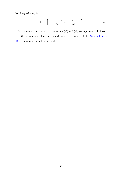Recall, equation [\(4\)](#page-8-1) is:

<span id="page-42-0"></span>
$$
\sigma_{\delta}^{2} = \sigma^{2} \left[ \frac{1 + (m_{0} - 1)\rho}{m_{0}k_{0}} + \frac{1 + (m_{1} - 1)\rho}{m_{1}k_{1}} \right]. \tag{41}
$$

Under the assumption that  $\sigma^2 = 1$ , equations [\(40\)](#page-41-2) and [\(41\)](#page-42-0) are equivalent, which completes this section, as we show that the variance of the treatment effect in [Shen and Kelcey](#page-23-5) [\(2020\)](#page-23-5) coincides with that in this work.